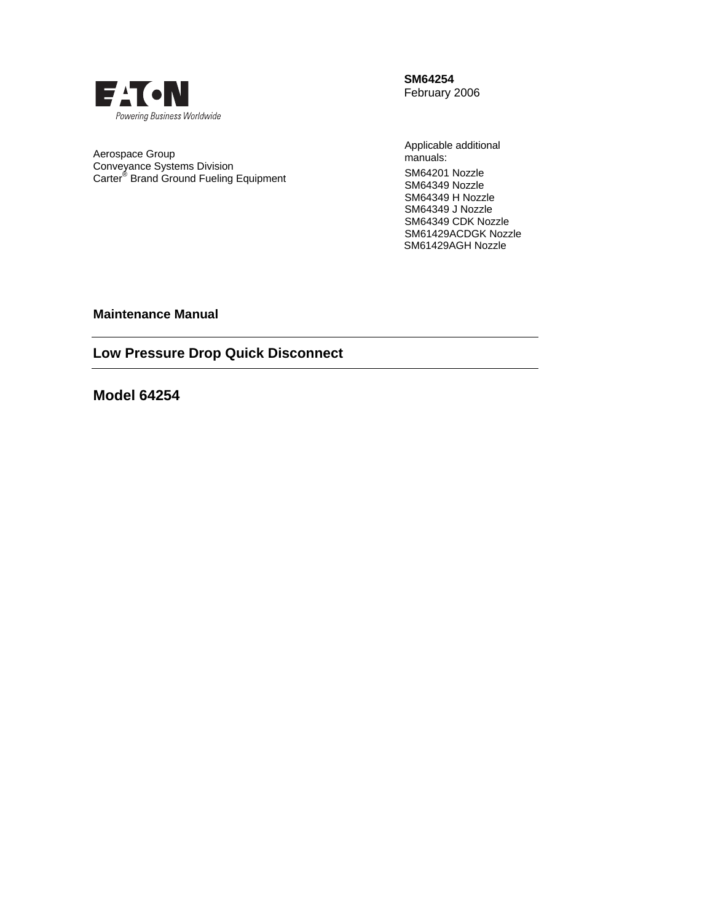

**SM64254**  February 2006

Aerospace Group Conveyance Systems Division Carter® Brand Ground Fueling Equipment Applicable additional manuals: SM64201 Nozzle SM64349 Nozzle SM64349 H Nozzle SM64349 J Nozzle SM64349 CDK Nozzle SM61429ACDGK Nozzle SM61429AGH Nozzle

**Maintenance Manual** 

**Low Pressure Drop Quick Disconnect** 

**Model 64254**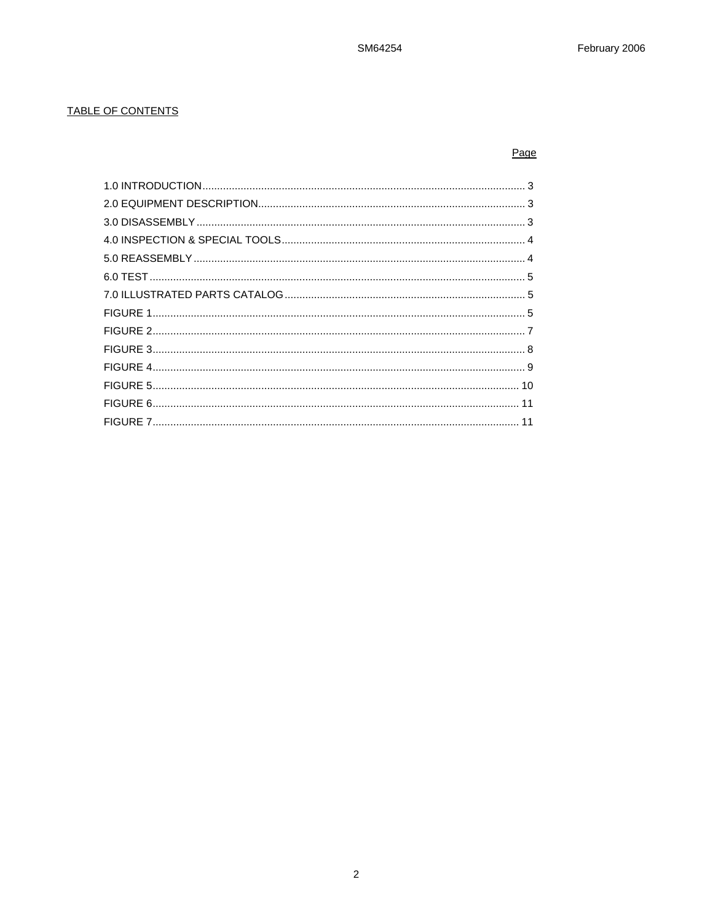## TABLE OF CONTENTS

## Page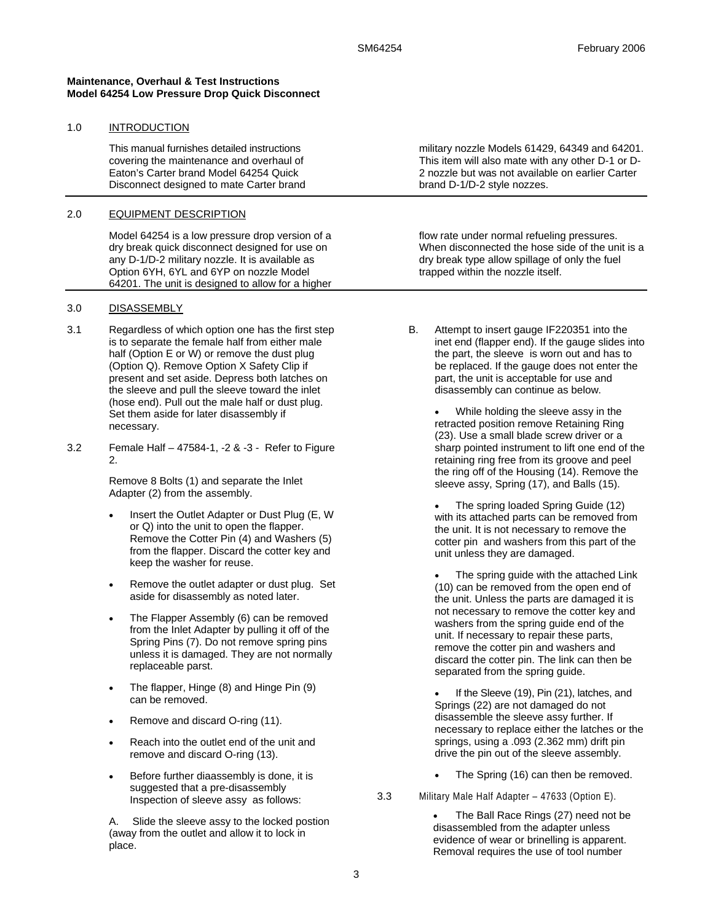#### **Maintenance, Overhaul & Test Instructions Model 64254 Low Pressure Drop Quick Disconnect**

#### 1.0 INTRODUCTION

This manual furnishes detailed instructions covering the maintenance and overhaul of Eaton's Carter brand Model 64254 Quick Disconnect designed to mate Carter brand

#### 2.0 EQUIPMENT DESCRIPTION

Model 64254 is a low pressure drop version of a dry break quick disconnect designed for use on any D-1/D-2 military nozzle. It is available as Option 6YH, 6YL and 6YP on nozzle Model 64201. The unit is designed to allow for a higher

#### 3.0 DISASSEMBLY

- 3.1 Regardless of which option one has the first step is to separate the female half from either male half (Option E or W) or remove the dust plug (Option Q). Remove Option X Safety Clip if present and set aside. Depress both latches on the sleeve and pull the sleeve toward the inlet (hose end). Pull out the male half or dust plug. Set them aside for later disassembly if necessary.
- 3.2 Female Half 47584-1, -2 & -3 Refer to Figure 2.

Remove 8 Bolts (1) and separate the Inlet Adapter (2) from the assembly.

- Insert the Outlet Adapter or Dust Plug (E, W or Q) into the unit to open the flapper. Remove the Cotter Pin (4) and Washers (5) from the flapper. Discard the cotter key and keep the washer for reuse.
- Remove the outlet adapter or dust plug. Set aside for disassembly as noted later.
- The Flapper Assembly (6) can be removed from the Inlet Adapter by pulling it off of the Spring Pins (7). Do not remove spring pins unless it is damaged. They are not normally replaceable parst.
- The flapper, Hinge (8) and Hinge Pin (9) can be removed.
- Remove and discard O-ring (11).
- Reach into the outlet end of the unit and remove and discard O-ring (13).
- Before further diaassembly is done, it is suggested that a pre-disassembly Inspection of sleeve assy as follows:

A. Slide the sleeve assy to the locked postion (away from the outlet and allow it to lock in place.

military nozzle Models 61429, 64349 and 64201. This item will also mate with any other D-1 or D-2 nozzle but was not available on earlier Carter brand D-1/D-2 style nozzes.

flow rate under normal refueling pressures. When disconnected the hose side of the unit is a dry break type allow spillage of only the fuel trapped within the nozzle itself.

B. Attempt to insert gauge IF220351 into the inet end (flapper end). If the gauge slides into the part, the sleeve is worn out and has to be replaced. If the gauge does not enter the part, the unit is acceptable for use and disassembly can continue as below.

> While holding the sleeve assy in the retracted position remove Retaining Ring (23). Use a small blade screw driver or a sharp pointed instrument to lift one end of the retaining ring free from its groove and peel the ring off of the Housing (14). Remove the sleeve assy, Spring (17), and Balls (15).

• The spring loaded Spring Guide (12) with its attached parts can be removed from the unit. It is not necessary to remove the cotter pin and washers from this part of the unit unless they are damaged.

The spring guide with the attached Link (10) can be removed from the open end of the unit. Unless the parts are damaged it is not necessary to remove the cotter key and washers from the spring guide end of the unit. If necessary to repair these parts, remove the cotter pin and washers and discard the cotter pin. The link can then be separated from the spring guide.

If the Sleeve (19), Pin (21), latches, and Springs (22) are not damaged do not disassemble the sleeve assy further. If necessary to replace either the latches or the springs, using a .093 (2.362 mm) drift pin drive the pin out of the sleeve assembly.

The Spring (16) can then be removed.

3.3 Military Male Half Adapter – 47633 (Option E).

The Ball Race Rings (27) need not be disassembled from the adapter unless evidence of wear or brinelling is apparent. Removal requires the use of tool number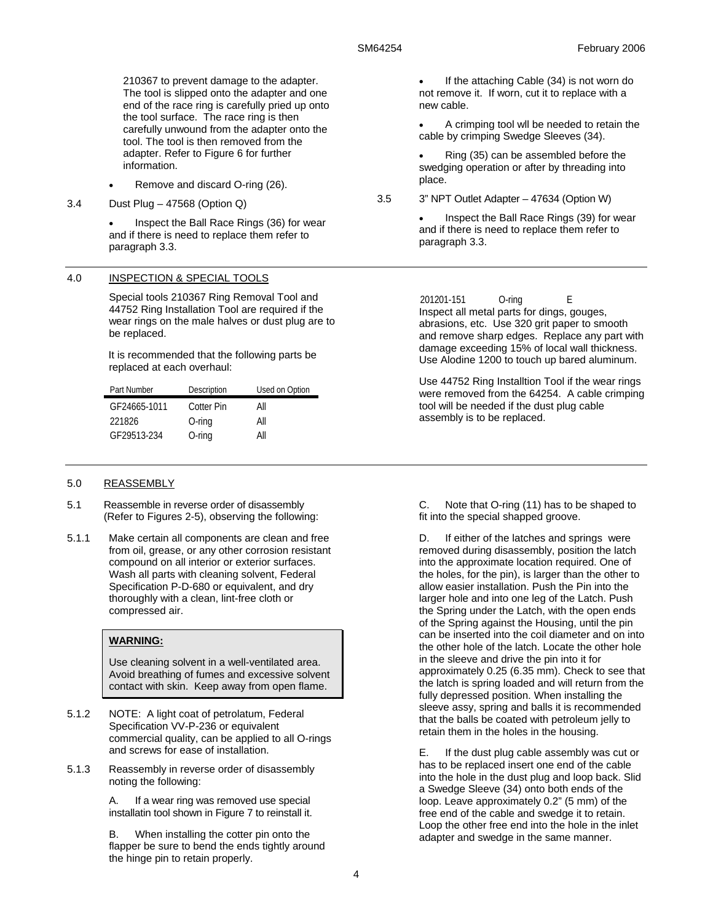210367 to prevent damage to the adapter. The tool is slipped onto the adapter and one end of the race ring is carefully pried up onto the tool surface. The race ring is then carefully unwound from the adapter onto the tool. The tool is then removed from the adapter. Refer to Figure 6 for further information.

- Remove and discard O-ring (26).
- 3.4 Dust Plug 47568 (Option Q)

• Inspect the Ball Race Rings (36) for wear and if there is need to replace them refer to paragraph 3.3.

#### 4.0 INSPECTION & SPECIAL TOOLS

Special tools 210367 Ring Removal Tool and 44752 Ring Installation Tool are required if the wear rings on the male halves or dust plug are to be replaced.

It is recommended that the following parts be replaced at each overhaul:

| Part Number  | Description | Used on Option |
|--------------|-------------|----------------|
| GF24665-1011 | Cotter Pin  | All            |
| 221826       | $O$ -ring   | Αll            |
| GF29513-234  | $O$ -ring   | Αll            |

#### 5.0 REASSEMBLY

- 5.1 Reassemble in reverse order of disassembly (Refer to Figures 2-5), observing the following:
- 5.1.1 Make certain all components are clean and free from oil, grease, or any other corrosion resistant compound on all interior or exterior surfaces. Wash all parts with cleaning solvent, Federal Specification P-D-680 or equivalent, and dry thoroughly with a clean, lint-free cloth or compressed air.

## **WARNING:**

Use cleaning solvent in a well-ventilated area. Avoid breathing of fumes and excessive solvent contact with skin. Keep away from open flame.

- 5.1.2 NOTE: A light coat of petrolatum, Federal Specification VV-P-236 or equivalent commercial quality, can be applied to all O-rings and screws for ease of installation.
- 5.1.3 Reassembly in reverse order of disassembly noting the following:

A. If a wear ring was removed use special installatin tool shown in Figure 7 to reinstall it.

B. When installing the cotter pin onto the flapper be sure to bend the ends tightly around the hinge pin to retain properly.

If the attaching Cable (34) is not worn do not remove it. If worn, cut it to replace with a new cable.

• A crimping tool wll be needed to retain the cable by crimping Swedge Sleeves (34).

• Ring (35) can be assembled before the swedging operation or after by threading into place.

3.5 3" NPT Outlet Adapter – 47634 (Option W)

• Inspect the Ball Race Rings (39) for wear and if there is need to replace them refer to paragraph 3.3.

201201-151 O-ring E Inspect all metal parts for dings, gouges, abrasions, etc. Use 320 grit paper to smooth and remove sharp edges. Replace any part with damage exceeding 15% of local wall thickness. Use Alodine 1200 to touch up bared aluminum.

 Use 44752 Ring Installtion Tool if the wear rings were removed from the 64254. A cable crimping tool will be needed if the dust plug cable assembly is to be replaced.

C. Note that O-ring (11) has to be shaped to fit into the special shapped groove.

D. If either of the latches and springs were removed during disassembly, position the latch into the approximate location required. One of the holes, for the pin), is larger than the other to allow easier installation. Push the Pin into the larger hole and into one leg of the Latch. Push the Spring under the Latch, with the open ends of the Spring against the Housing, until the pin can be inserted into the coil diameter and on into the other hole of the latch. Locate the other hole in the sleeve and drive the pin into it for approximately 0.25 (6.35 mm). Check to see that the latch is spring loaded and will return from the fully depressed position. When installing the sleeve assy, spring and balls it is recommended that the balls be coated with petroleum jelly to retain them in the holes in the housing.

E. If the dust plug cable assembly was cut or has to be replaced insert one end of the cable into the hole in the dust plug and loop back. Slid a Swedge Sleeve (34) onto both ends of the loop. Leave approximately 0.2" (5 mm) of the free end of the cable and swedge it to retain. Loop the other free end into the hole in the inlet adapter and swedge in the same manner.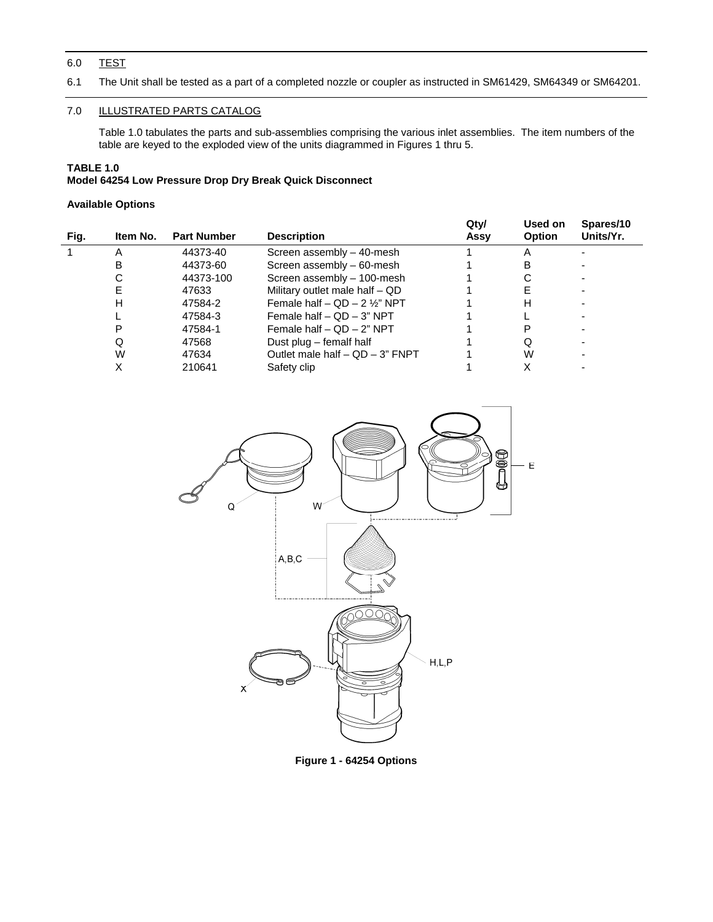## 6.0 TEST

6.1 The Unit shall be tested as a part of a completed nozzle or coupler as instructed in SM61429, SM64349 or SM64201.

## 7.0 ILLUSTRATED PARTS CATALOG

 Table 1.0 tabulates the parts and sub-assemblies comprising the various inlet assemblies. The item numbers of the table are keyed to the exploded view of the units diagrammed in Figures 1 thru 5.

## **TABLE 1.0**

## **Model 64254 Low Pressure Drop Dry Break Quick Disconnect**

### **Available Options**

|      |          |                    |                                                | Qty/ | Used on       | Spares/10 |
|------|----------|--------------------|------------------------------------------------|------|---------------|-----------|
| Fig. | Item No. | <b>Part Number</b> | <b>Description</b>                             | Assy | <b>Option</b> | Units/Yr. |
|      | Α        | 44373-40           | Screen assembly - 40-mesh                      |      |               |           |
|      | в        | 44373-60           | Screen assembly - 60-mesh                      |      | в             |           |
|      | С        | 44373-100          | Screen assembly - 100-mesh                     |      |               |           |
|      |          | 47633              | Military outlet male half - QD                 |      |               |           |
|      | н        | 47584-2            | Female half $-$ QD $-$ 2 1/ <sub>2</sub> " NPT |      | н             |           |
|      |          | 47584-3            | Female half $-$ QD $-$ 3" NPT                  |      |               |           |
|      | Р        | 47584-1            | Female half $-$ QD $-$ 2" NPT                  |      |               |           |
|      | Ő        | 47568              | Dust plug - femalf half                        |      | Q             |           |
|      | W        | 47634              | Outlet male half $-$ QD $-$ 3" FNPT            |      | W             |           |
|      |          | 210641             | Safety clip                                    |      |               |           |



**Figure 1 - 64254 Options**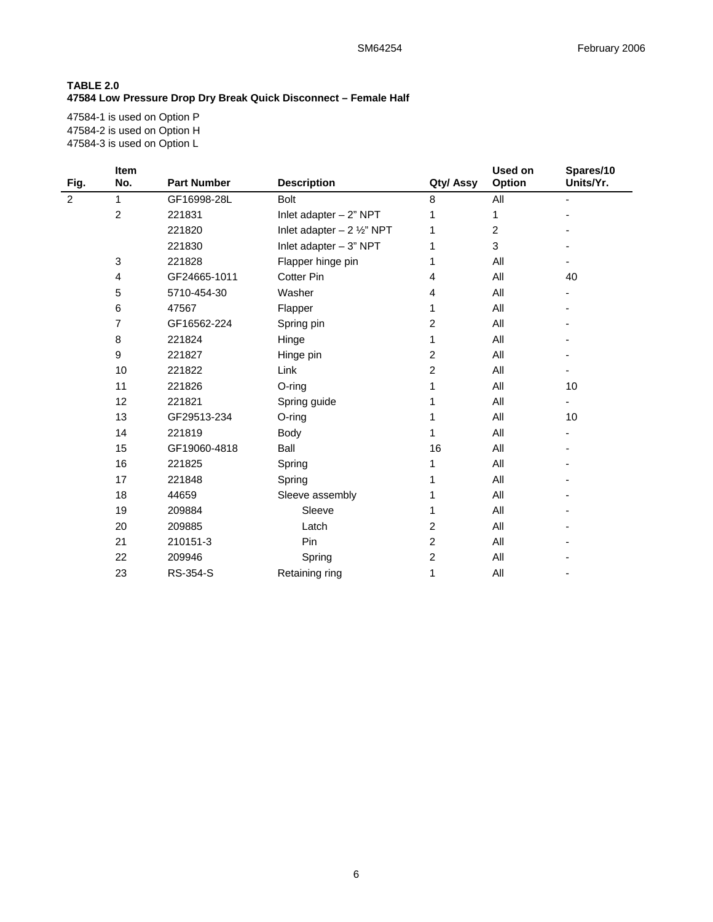## **TABLE 2.0 47584 Low Pressure Drop Dry Break Quick Disconnect – Female Half**

47584-1 is used on Option P 47584-2 is used on Option H 47584-3 is used on Option L

|      | <b>Item</b>      |                    |                                     |                         | Used on       | Spares/10 |
|------|------------------|--------------------|-------------------------------------|-------------------------|---------------|-----------|
| Fig. | No.              | <b>Part Number</b> | <b>Description</b>                  | Qty/ Assy               | <b>Option</b> | Units/Yr. |
| 2    | 1                | GF16998-28L        | Bolt                                | 8                       | All           |           |
|      | $\overline{c}$   | 221831             | Inlet adapter $-2$ " NPT            | 1                       | 1             |           |
|      |                  | 221820             | Inlet adapter $-2\frac{1}{2}$ " NPT | 1                       | 2             |           |
|      |                  | 221830             | Inlet adapter $-3$ " NPT            | 1                       | 3             |           |
|      | 3                | 221828             | Flapper hinge pin                   | 1                       | All           |           |
|      | 4                | GF24665-1011       | <b>Cotter Pin</b>                   | $\overline{\mathbf{4}}$ | All           | 40        |
|      | 5                | 5710-454-30        | Washer                              | 4                       | All           |           |
|      | 6                | 47567              | Flapper                             | 1                       | All           |           |
|      | 7                | GF16562-224        | Spring pin                          | 2                       | All           |           |
|      | 8                | 221824             | Hinge                               | 1                       | All           |           |
|      | $\boldsymbol{9}$ | 221827             | Hinge pin                           | 2                       | All           |           |
|      | 10               | 221822             | Link                                | 2                       | All           |           |
|      | 11               | 221826             | O-ring                              | 1                       | All           | 10        |
|      | 12               | 221821             | Spring guide                        | 1                       | All           |           |
|      | 13               | GF29513-234        | $O$ -ring                           | 1                       | All           | 10        |
|      | 14               | 221819             | Body                                | 1                       | All           |           |
|      | 15               | GF19060-4818       | Ball                                | 16                      | All           |           |
|      | 16               | 221825             | Spring                              | 1                       | All           |           |
|      | 17               | 221848             | Spring                              | 1                       | All           |           |
|      | 18               | 44659              | Sleeve assembly                     | 1                       | All           |           |
|      | 19               | 209884             | Sleeve                              | 1                       | All           |           |
|      | 20               | 209885             | Latch                               | 2                       | All           |           |
|      | 21               | 210151-3           | Pin                                 | $\boldsymbol{2}$        | All           |           |
|      | 22               | 209946             | Spring                              | $\overline{c}$          | All           |           |
|      | 23               | RS-354-S           | Retaining ring                      | 1                       | All           |           |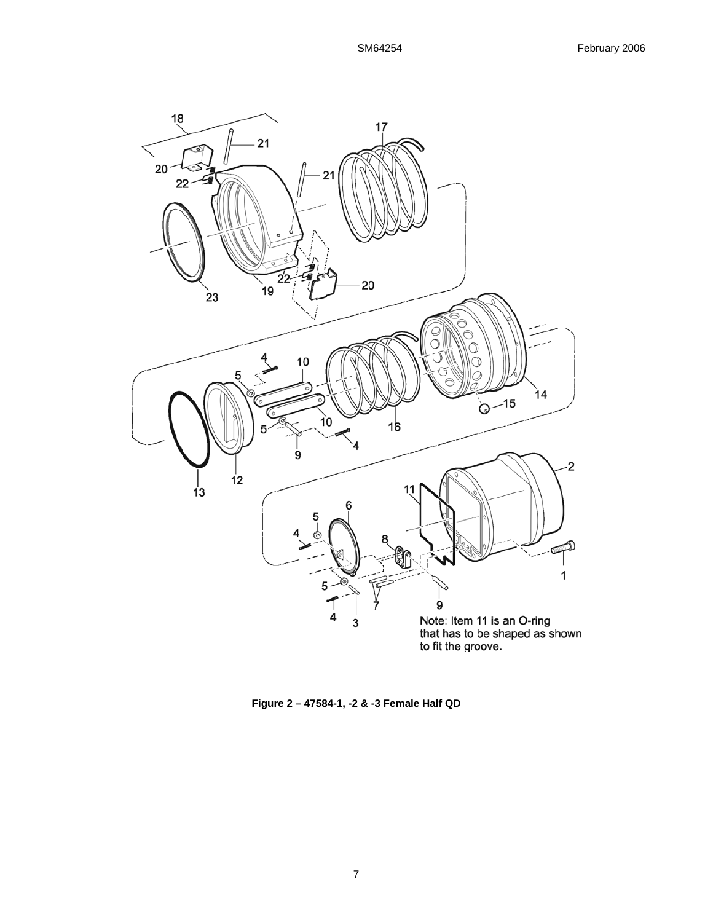

**Figure 2 – 47584-1, -2 & -3 Female Half QD**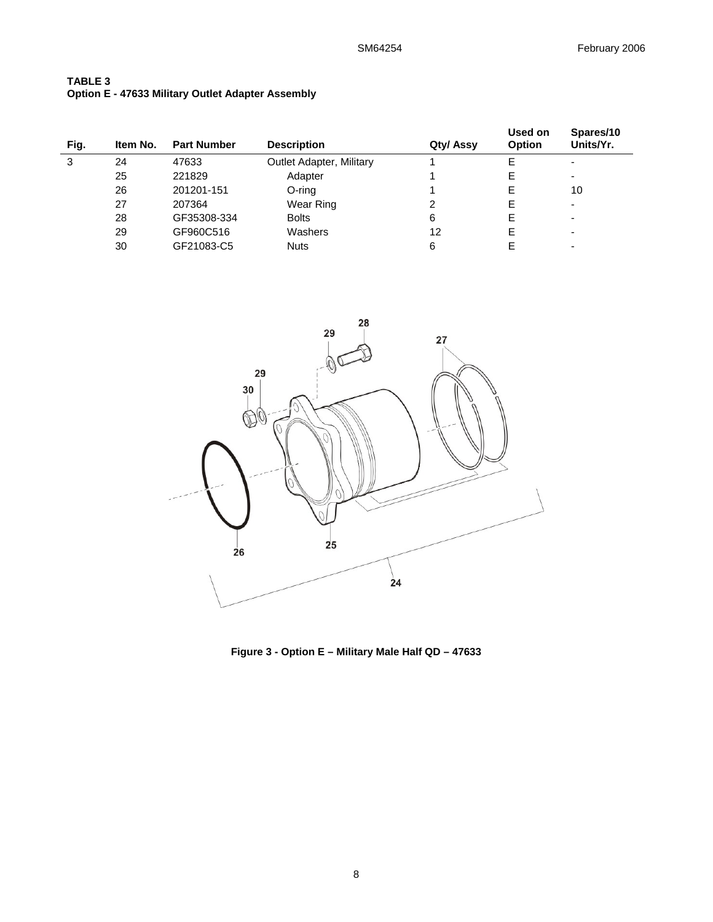| <b>TABLE 3</b> |                                                          |  |
|----------------|----------------------------------------------------------|--|
|                | <b>Option E - 47633 Military Outlet Adapter Assembly</b> |  |

| Fig. | Item No. | <b>Part Number</b> | <b>Description</b>       | Qty/ Assy | Used on<br><b>Option</b> | Spares/10<br>Units/Yr. |
|------|----------|--------------------|--------------------------|-----------|--------------------------|------------------------|
| 3    | 24       | 47633              | Outlet Adapter, Military |           | Е                        | -                      |
|      | 25       | 221829             | Adapter                  |           | E                        |                        |
|      | 26       | 201201-151         | O-ring                   |           | E                        | 10                     |
|      | 27       | 207364             | Wear Ring                | 2         | E                        | -                      |
|      | 28       | GF35308-334        | <b>Bolts</b>             | 6         | E                        | -                      |
|      | 29       | GF960C516          | Washers                  | 12        | E                        |                        |
|      | 30       | GF21083-C5         | <b>Nuts</b>              | 6         |                          |                        |



**Figure 3 - Option E – Military Male Half QD – 47633**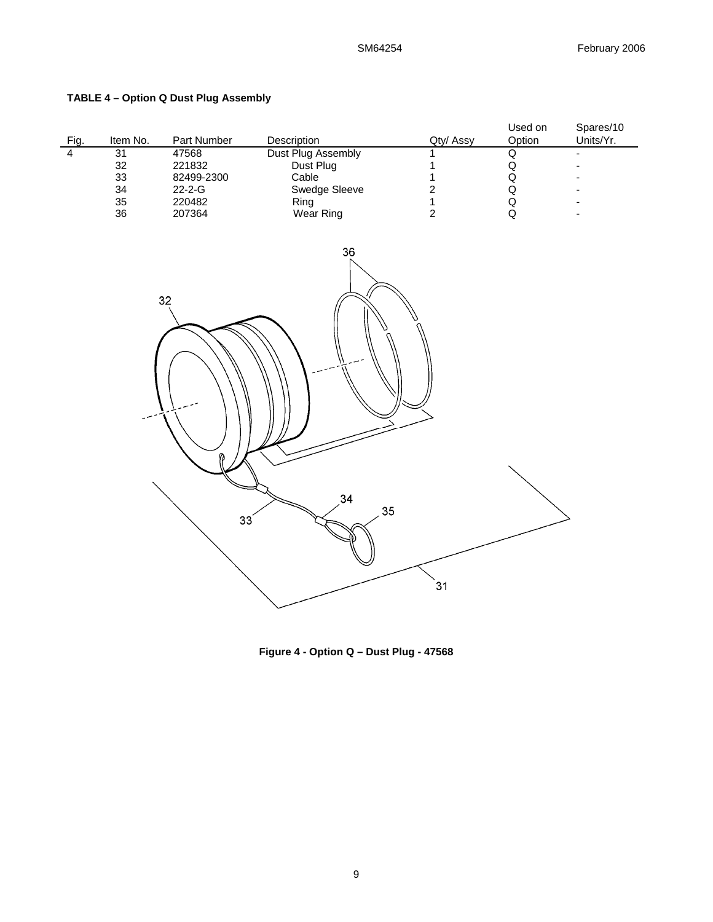# **TABLE 4 – Option Q Dust Plug Assembly**

| Fig.           | Item No. | Part Number  | <b>Description</b> | Qty/ Assy | Used on<br>Option | Spares/10<br>Units/Yr. |
|----------------|----------|--------------|--------------------|-----------|-------------------|------------------------|
| $\overline{4}$ | 31       | 47568        | Dust Plug Assembly |           | u                 |                        |
|                | 32       | 221832       | Dust Plug          |           | w                 |                        |
|                | 33       | 82499-2300   | Cable              |           | w                 |                        |
|                | 34       | $22 - 2 - G$ | Swedge Sleeve      |           | w                 |                        |
|                | 35       | 220482       | Ring               |           | w                 | -                      |
|                | 36       | 207364       | Wear Ring          |           |                   |                        |



**Figure 4 - Option Q – Dust Plug - 47568**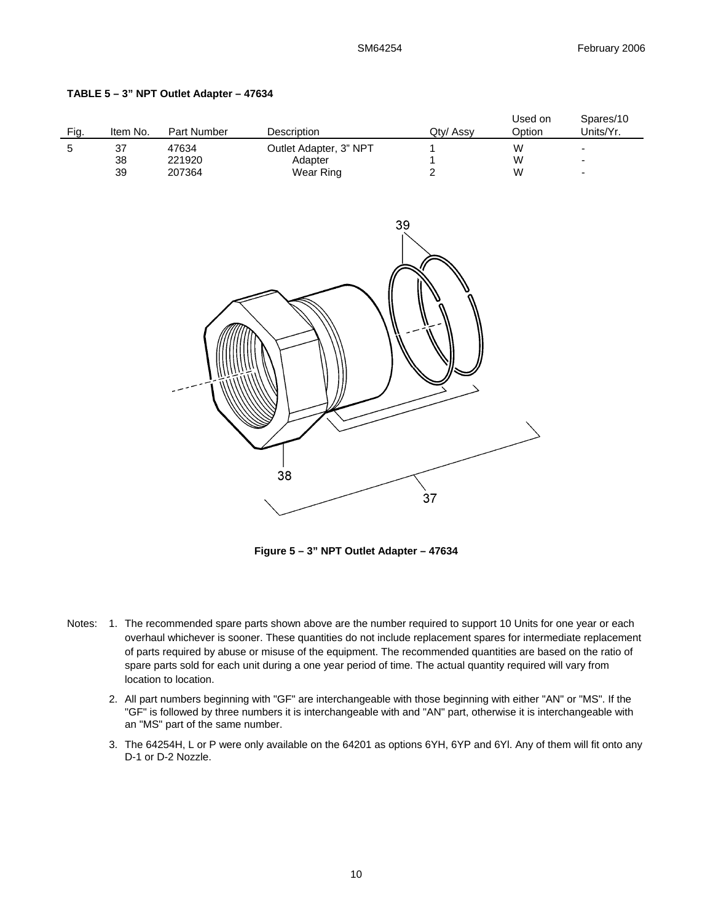Spares/10

Used on

| TABLE 5 – 3" NPT Outlet Adapter – 47634 |  |  |  |  |
|-----------------------------------------|--|--|--|--|
|-----------------------------------------|--|--|--|--|

| Fig.       | Item No.           | Part Number               | Description                                    | Qty/ Assy        | Option              | Units/Yr. |
|------------|--------------------|---------------------------|------------------------------------------------|------------------|---------------------|-----------|
| $\sqrt{5}$ | $37\,$<br>38<br>39 | 47634<br>221920<br>207364 | Outlet Adapter, 3" NPT<br>Adapter<br>Wear Ring | $\boldsymbol{2}$ | ${\sf W}$<br>W<br>W | ÷         |
|            |                    |                           | 38                                             | 39               |                     |           |

**Figure 5 – 3" NPT Outlet Adapter – 47634** 

 $37$ 

- Notes: 1. The recommended spare parts shown above are the number required to support 10 Units for one year or each overhaul whichever is sooner. These quantities do not include replacement spares for intermediate replacement of parts required by abuse or misuse of the equipment. The recommended quantities are based on the ratio of spare parts sold for each unit during a one year period of time. The actual quantity required will vary from location to location.
	- 2. All part numbers beginning with "GF" are interchangeable with those beginning with either "AN" or "MS". If the "GF" is followed by three numbers it is interchangeable with and "AN" part, otherwise it is interchangeable with an "MS" part of the same number.
	- 3. The 64254H, L or P were only available on the 64201 as options 6YH, 6YP and 6Yl. Any of them will fit onto any D-1 or D-2 Nozzle.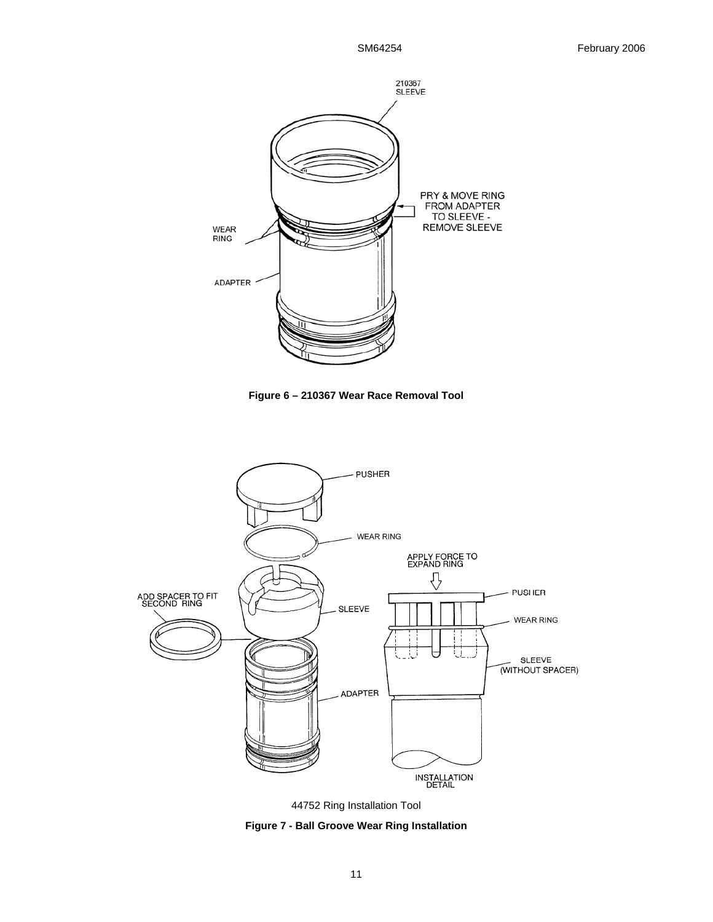

**Figure 6 – 210367 Wear Race Removal Tool**



44752 Ring Installation Tool

**Figure 7 - Ball Groove Wear Ring Installation**